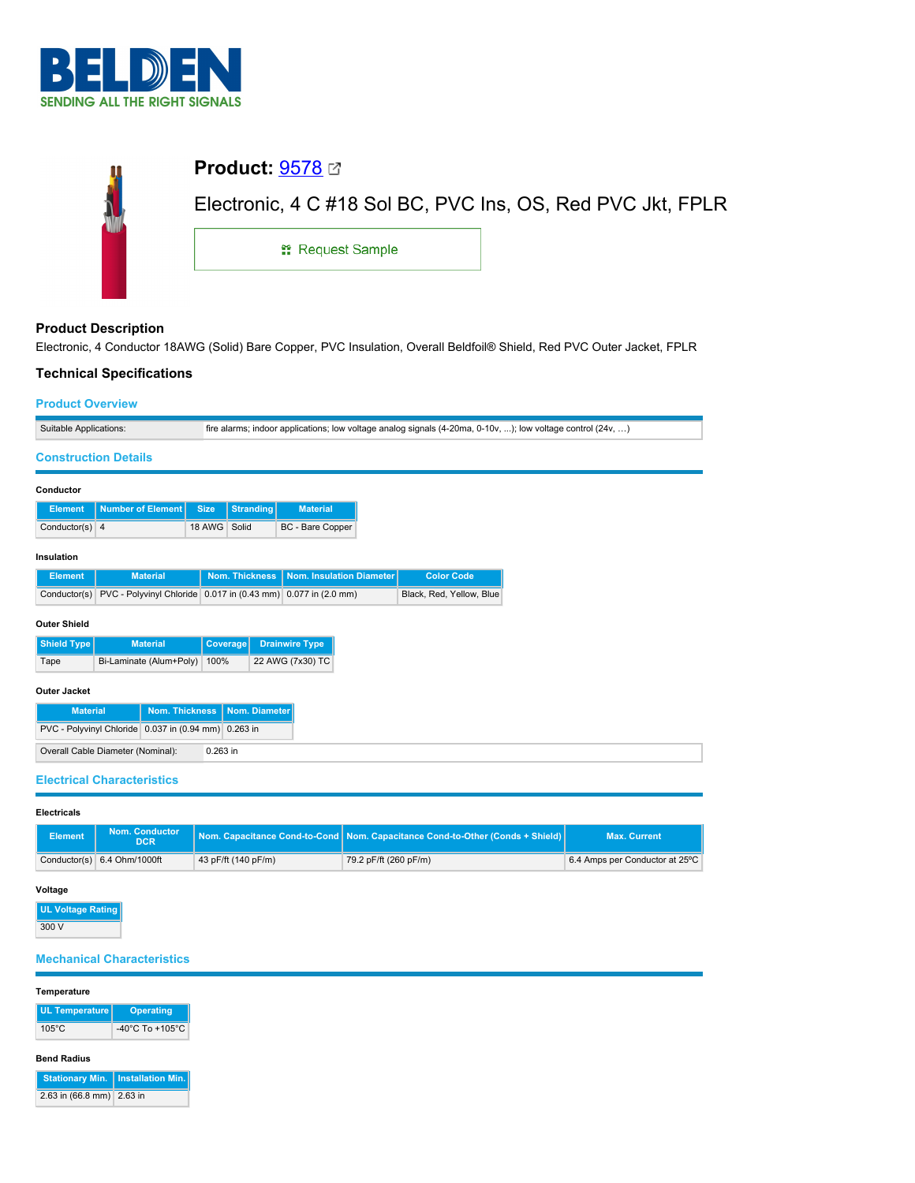

| <b>Product:</b> $9578 \text{ } \textcircled$               |
|------------------------------------------------------------|
| Electronic, 4 C #18 Sol BC, PVC Ins, OS, Red PVC Jkt, FPLR |
| <b>: Request Sample</b>                                    |
|                                                            |

# **Product Description**

Electronic, 4 Conductor 18AWG (Solid) Bare Copper, PVC Insulation, Overall Beldfoil® Shield, Red PVC Outer Jacket, FPLR

## **Technical Specifications**

#### **Product Overview**

| Suitable Applications:                                    |                                                               |              |                  |                          |  | fire alarms; indoor applications; low voltage analog signals $(4-20ma, 0-10v, )$ ; low voltage control $(24v, )$ |  |
|-----------------------------------------------------------|---------------------------------------------------------------|--------------|------------------|--------------------------|--|------------------------------------------------------------------------------------------------------------------|--|
|                                                           | <b>Construction Details</b>                                   |              |                  |                          |  |                                                                                                                  |  |
|                                                           |                                                               |              |                  |                          |  |                                                                                                                  |  |
| Conductor                                                 |                                                               |              |                  |                          |  |                                                                                                                  |  |
| <b>Element</b>                                            | <b>Number of Element</b>                                      | <b>Size</b>  | <b>Stranding</b> | <b>Material</b>          |  |                                                                                                                  |  |
| Conductor(s) $4$                                          |                                                               | 18 AWG Solid |                  | BC - Bare Copper         |  |                                                                                                                  |  |
|                                                           |                                                               |              |                  |                          |  |                                                                                                                  |  |
| Insulation                                                |                                                               |              |                  |                          |  |                                                                                                                  |  |
| <b>Element</b>                                            | <b>Material</b>                                               |              | Nom. Thickness   | Nom. Insulation Diameter |  | <b>Color Code</b>                                                                                                |  |
| Conductor(s)                                              | PVC - Polyvinyl Chloride 0.017 in (0.43 mm) 0.077 in (2.0 mm) |              |                  |                          |  | Black, Red, Yellow, Blue                                                                                         |  |
| <b>Outer Shield</b>                                       |                                                               |              |                  |                          |  |                                                                                                                  |  |
| Shield Type                                               | <b>Material</b>                                               |              | Coverage         | <b>Drainwire Type</b>    |  |                                                                                                                  |  |
| Tape                                                      | Bi-Laminate (Alum+Poly)                                       | 100%         |                  | 22 AWG (7x30) TC         |  |                                                                                                                  |  |
|                                                           |                                                               |              |                  |                          |  |                                                                                                                  |  |
| <b>Outer Jacket</b>                                       |                                                               |              |                  |                          |  |                                                                                                                  |  |
| <b>Nom. Thickness</b><br>Nom. Diameter<br><b>Material</b> |                                                               |              |                  |                          |  |                                                                                                                  |  |
| PVC - Polyvinyl Chloride 0.037 in (0.94 mm) 0.263 in      |                                                               |              |                  |                          |  |                                                                                                                  |  |
|                                                           | Overall Cable Diameter (Nominal):                             | 0.263 in     |                  |                          |  |                                                                                                                  |  |
|                                                           |                                                               |              |                  |                          |  |                                                                                                                  |  |
|                                                           | <b>Electrical Characteristics</b>                             |              |                  |                          |  |                                                                                                                  |  |

# **Electricals**

| <b>Element</b> | <b>Nom. Conductor</b><br><b>DCR</b> |                     | Nom. Capacitance Cond-to-Cond   Nom. Capacitance Cond-to-Other (Conds + Shield) | <b>Max. Current</b>            |
|----------------|-------------------------------------|---------------------|---------------------------------------------------------------------------------|--------------------------------|
|                | Conductor(s) 6.4 Ohm/1000ft         | 43 pF/ft (140 pF/m) | 79.2 pF/ft (260 pF/m)                                                           | 6.4 Amps per Conductor at 25°C |

## **Voltage**

| <b>UL Voltage Rating</b> |
|--------------------------|
| 300 V                    |

# **Mechanical Characteristics**

#### **Temperature**

| UL Temperature  | <b>Operating</b>                    |
|-----------------|-------------------------------------|
| $105^{\circ}$ C | $-40^{\circ}$ C To $+105^{\circ}$ C |

### **Bend Radius**

|                           | Stationary Min.   Installation Min. |
|---------------------------|-------------------------------------|
| 2.63 in (66.8 mm) 2.63 in |                                     |